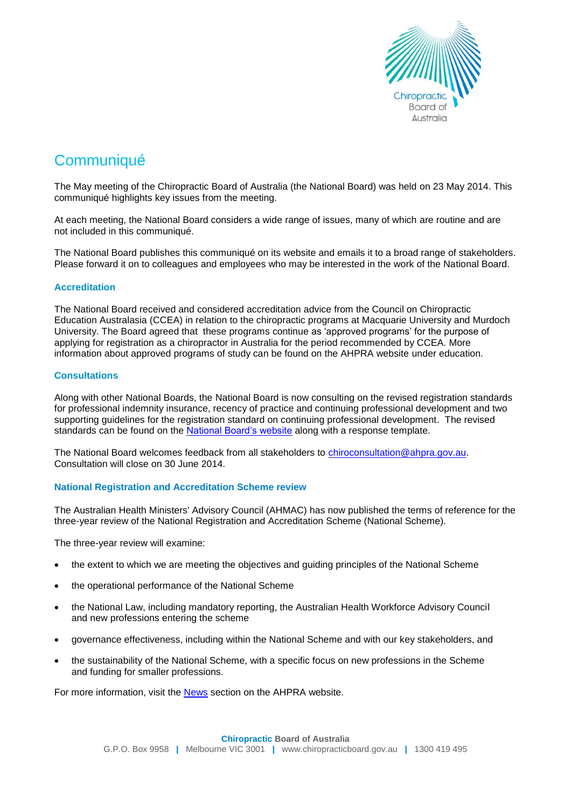

# **Communiqué**

The May meeting of the Chiropractic Board of Australia (the National Board) was held on 23 May 2014. This communiqué highlights key issues from the meeting.

At each meeting, the National Board considers a wide range of issues, many of which are routine and are not included in this communiqué.

The National Board publishes this communiqué on its website and emails it to a broad range of stakeholders. Please forward it on to colleagues and employees who may be interested in the work of the National Board.

## **Accreditation**

The National Board received and considered accreditation advice from the Council on Chiropractic Education Australasia (CCEA) in relation to the chiropractic programs at Macquarie University and Murdoch University. The Board agreed that these programs continue as 'approved programs' for the purpose of applying for registration as a chiropractor in Australia for the period recommended by CCEA. More information about approved programs of study can be found on the AHPRA website under [education.](http://www.ahpra.gov.au/Education/Approved-Programs-of-Study.aspx)

## **Consultations**

Along with other National Boards, the National Board is now consulting on the revised registration standards for professional indemnity insurance, recency of practice and continuing professional development and two supporting guidelines for the registration standard on continuing professional development. The revised standards can be found on the [National Board's website](http://www.chiropracticboard.gov.au/News/Current-consultations.aspx) along with a response template.

The National Board welcomes feedback from all stakeholders to chiroconsultation@ahpra.gov.au. Consultation will close on 30 June 2014.

# **National Registration and Accreditation Scheme review**

The Australian Health Ministers' Advisory Council (AHMAC) has now published the terms of reference for the three-year review of the National Registration and Accreditation Scheme (National Scheme).

The three-year review will examine:

- the extent to which we are meeting the objectives and guiding principles of the National Scheme
- the operational performance of the National Scheme
- the National Law, including mandatory reporting, the Australian Health Workforce Advisory Council and new professions entering the scheme
- governance effectiveness, including within the National Scheme and with our key stakeholders, and
- the sustainability of the National Scheme, with a specific focus on new professions in the Scheme and funding for smaller professions.

For more information, visit the [News](http://www.ahpra.gov.au/News/2014-04-29-terms-of-reference.aspx) section on the AHPRA website.